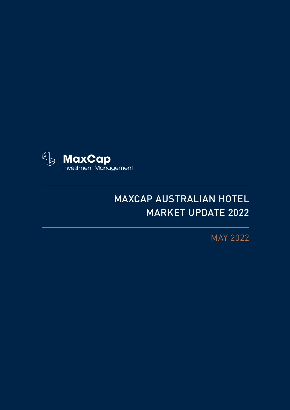

## MAXCAP AUSTRALIAN HOTEL MARKET UPDATE 2022

MAY 2022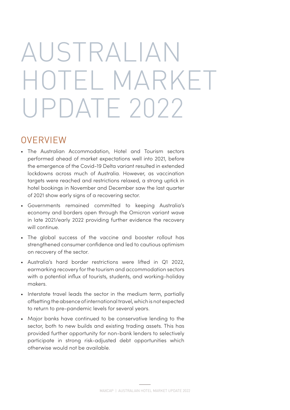## AUSTRALIAN HOTEL MARKET UPDATE 2022

## **OVERVIEW**

- The Australian Accommodation, Hotel and Tourism sectors performed ahead of market expectations well into 2021, before the emergence of the Covid-19 Delta variant resulted in extended lockdowns across much of Australia. However, as vaccination targets were reached and restrictions relaxed, a strong uptick in hotel bookings in November and December saw the last quarter of 2021 show early signs of a recovering sector.
- Governments remained committed to keeping Australia's economy and borders open through the Omicron variant wave in late 2021/early 2022 providing further evidence the recovery will continue.
- The global success of the vaccine and booster rollout has strengthened consumer confidence and led to cautious optimism on recovery of the sector.
- Australia's hard border restrictions were lifted in Q1 2022, earmarking recovery for the tourism and accommodation sectors with a potential influx of tourists, students, and working-holiday makers.
- Interstate travel leads the sector in the medium term, partially offsetting the absence of international travel, which is not expected to return to pre-pandemic levels for several years.
- Major banks have continued to be conservative lending to the sector, both to new builds and existing trading assets. This has provided further opportunity for non-bank lenders to selectively participate in strong risk-adjusted debt opportunities which otherwise would not be available.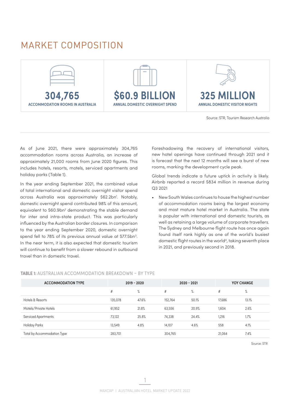## <span id="page-2-0"></span>MARKET COMPOSITION



Source: STR, Tourism Research Australia

As of June 2021, there were approximately 304,765 accommodation rooms across Australia, an increase of approximately 21,000 rooms from June 2020 figures. This includes hotels, resorts, motels, serviced apartments and holiday parks (Table 1).

In the year ending September 2021, the combined value of total international and domestic overnight visitor spend across Australia was approximately \$62.2bn<sup>1</sup>. Notably, domestic overnight spend contributed 98% of this amount, equivalent to \$60.9bn<sup>[2](#page-10-0)</sup> demonstrating the stable demand for inter and intra-state product. This was particularly influenced by the Australian border closures. In comparison to the year ending September 2020, domestic overnight spend fell to 78% of its previous annual value at \$77.5bn<sup>3</sup>. In the near term, it is also expected that domestic tourism will continue to benefit from a slower rebound in outbound travel than in domestic travel.

Foreshadowing the recovery of international visitors, new hotel openings have continued through 2021 and it is forecast that the next 12 months will see a burst of new rooms, marking the development cycle peak.

Global trends indicate a future uptick in activity is likely. Airbnb reported a record \$834 million in revenue during Q3 2021

• New South Wales continues to house the highest number of accommodation rooms being the largest economy and most mature hotel market in Australia. The state is popular with international and domestic tourists, as well as retaining a large volume of corporate travellers. The Sydney and Melbourne flight route has once again found itself rank highly as one of the world's busiest domestic flight routes in the world<sup>4</sup>, taking seventh place in 2021, and previously second in 2018.

#### **TABLE 1:** AUSTRALIAN ACCOMMODATION BREAKDOWN – BY TYPE

| <b>ACCOMMODATION TYPE</b>   | $2019 - 2020$ |       | $2020 - 2021$ |       | <b>YOY CHANGE</b> |       |
|-----------------------------|---------------|-------|---------------|-------|-------------------|-------|
|                             | #             | $\%$  | #             | $\%$  | #                 | %     |
| Hotels & Resorts            | 135.078       | 47.6% | 152,764       | 50.1% | 17,686            | 13.1% |
| Motels/Private Hotels       | 61,952        | 21.8% | 63,556        | 20.9% | 1,604             | 2.6%  |
| <b>Serviced Apartments</b>  | 73,122        | 25.8% | 74,338        | 24.4% | 1,216             | 1.7%  |
| Holiday Parks               | 13.549        | 4.8%  | 14,107        | 4.6%  | 558               | 4.1%  |
| Total by Accommodation Type | 283,701       |       | 304,765       |       | 21,064            | 7.4%  |

Source: STR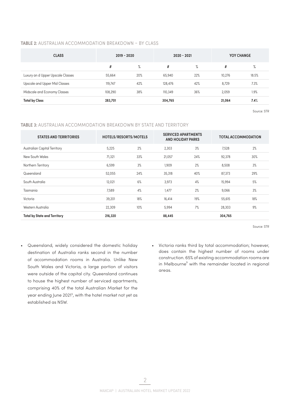#### <span id="page-3-0"></span>**TABLE 2:** AUSTRALIAN ACCOMMODATION BREAKDOWN – BY CLASS

| <b>CLASS</b>                      | $2019 - 2020$ |     | $2020 - 2021$ |     | YOY CHANGE |       |
|-----------------------------------|---------------|-----|---------------|-----|------------|-------|
|                                   | #             | %   | #             | %   | #          | %     |
| Luxury an d Upper Upscale Classes | 55,664        | 20% | 65,940        | 22% | 10,276     | 18.5% |
| Upscale and Upper Mid Classes     | 119,747       | 42% | 128,476       | 42% | 8,729      | 7.3%  |
| Midscale and Economy Classes      | 108,290       | 38% | 110,349       | 36% | 2,059      | 1.9%  |
| <b>Total by Class</b>             | 283,701       |     | 304,765       |     | 21,064     | 7.4%  |

Source: STR

#### **TABLE 3:** AUSTRALIAN ACCOMMODATION BREAKDOWN BY STATE AND TERRITORY

| <b>STATES AND TERRITORIES</b>       | HOTELS/RESORTS/MOTELS |     | <b>SERVICED APARTMENTS</b><br><b>AND HOLIDAY PARKS</b> |     | <b>TOTAL ACCOMMODATION</b> |     |
|-------------------------------------|-----------------------|-----|--------------------------------------------------------|-----|----------------------------|-----|
| <b>Australian Capital Territory</b> | 5,225                 | 2%  | 2,303                                                  | 3%  | 7,528                      | 2%  |
| New South Wales                     | 71,321                | 33% | 21,057                                                 | 24% | 92,378                     | 30% |
| Northern Territory                  | 6,599                 | 3%  | 1,909                                                  | 2%  | 8,508                      | 3%  |
| Queensland                          | 52,055                | 24% | 35,318                                                 | 40% | 87,373                     | 29% |
| South Australia                     | 12,021                | 6%  | 3,973                                                  | 4%  | 15,994                     | 5%  |
| Tasmania                            | 7,589                 | 4%  | 1,477                                                  | 2%  | 9,066                      | 3%  |
| Victoria                            | 39,201                | 18% | 16,414                                                 | 19% | 55,615                     | 18% |
| Western Australia                   | 22,309                | 10% | 5,994                                                  | 7%  | 28,303                     | 9%  |
| <b>Total by State and Territory</b> | 216,320               |     | 88,445                                                 |     | 304,765                    |     |

Source: STR

- Queensland, widely considered the domestic holiday destination of Australia ranks second in the number of accommodation rooms in Australia. Unlike New South Wales and Victoria, a large portion of visitors were outside of the capital city. Queensland continues to house the highest number of serviced apartments, comprising 40% of the total Australian Market for the year ending June 2021[5,](#page-10-0) with the hotel market not yet as established as NSW.
- Victoria ranks third by total accommodation; however, does contain the highest number of rooms under construction. 65% of existing accommodation rooms are in Melbourne<sup>3</sup> with the remainder located in regional areas.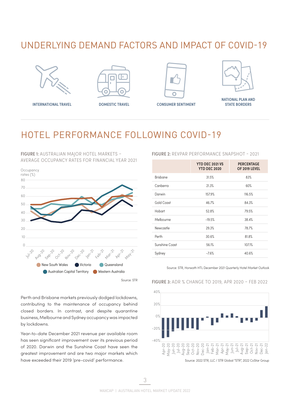## UNDERLYING DEMAND FACTORS AND IMPACT OF COVID-19







**INTERNATIONAL TRAVEL CONSUMER SENTIMENT** 



**NATIONAL PLAN AND STATE BORDERS**

## HOTEL PERFORMANCE FOLLOWING COVID-19

**FIGURE 1:** AUSTRALIAN MAJOR HOTEL MARKETS – AVERAGE OCCUPANCY RATES FOR FINANCIAL YEAR 2021



Source: STR

Perth and Brisbane markets previously dodged lockdowns, contributing to the maintenance of occupancy behind closed borders. In contrast, and despite quarantine business, Melbourne and Sydney occupancy was impacted by lockdowns.

Year-to-date December 2021 revenue per available room has seen significant improvement over its previous period of 2020. Darwin and the Sunshine Coast have seen the greatest improvement and are two major markets which have exceeded their 2019 'pre-covid' performance.

#### **FIGURE 2:** REVPAR PERFORMANCE SNAPSHOT - 2021

|                | <b>YTD DEC 2021 VS</b><br><b>YTD DEC 2020</b> | <b>PERCENTAGE</b><br>OF 2019 LEVEL |
|----------------|-----------------------------------------------|------------------------------------|
| Brisbane       | 31.5%                                         | 83%                                |
| Canberra       | 21.3%                                         | 60%                                |
| Darwin         | 157.9%                                        | 116.5%                             |
| Gold Coast     | 46.7%                                         | 84.3%                              |
| Hobart         | 52.8%                                         | 79.5%                              |
| Melbourne      | $-19.5%$                                      | 38.4%                              |
| Newcastle      | 29.3%                                         | 78.7%                              |
| Perth          | 30.6%                                         | 81.8%                              |
| Sunshine Coast | 56.1%                                         | 107.1%                             |
| Sydney         | $-7.6%$                                       | 40.6%                              |
|                |                                               |                                    |

#### Source: STR, Horwath HTL December 2021 Quarterly Hotel Market Outlook



#### **FIGURE 3:** ADR % CHANGE TO 2019, APR 2020 – FEB 2022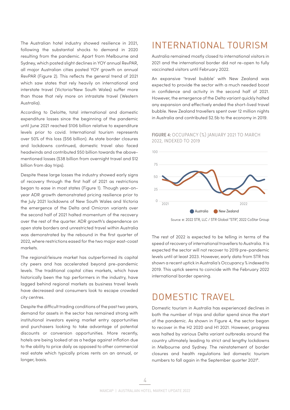<span id="page-5-0"></span>The Australian hotel industry showed resilience in 2021, following the substantial shocks to demand in 2020 resulting from the pandemic. Apart from Melbourne and Sydney, which posted slight declines in YOY annual RevPAR, all major Australian cities posted YOY growth on annual RevPAR (Figure 2). This reflects the general trend of 2021 which saw states that rely heavily on international and interstate travel (Victoria/New South Wales) suffer more than those that rely more on intrastate travel (Western Australia).

According to Deloitte, total international and domestic expenditure losses since the beginning of the pandemic until June 2021 reached \$106 billion relative to expenditure levels prior to covid. International tourism represents over 50% of this loss (\$56 billion). As state border closures and lockdowns continued, domestic travel also faced headwinds and contributed \$50 billion towards the abovementioned losses (\$38 billion from overnight travel and \$12 billion from day trips).

Despite these large losses the industry showed early signs of recovery through the first half of 2021 as restrictions began to ease in most states (Figure 1). Though year-onyear ADR growth demonstrated pricing resilience prior to the July 2021 lockdowns of New South Wales and Victoria the emergence of the Delta and Omicron variants over the second half of 2021 halted momentum of the recovery over the rest of the quarter. ADR growth's dependence on open state borders and unrestricted travel within Australia was demonstrated by the rebound in the first quarter of 2022, where restrictions eased for the two major east-coast markets.

The regional/leisure market has outperformed its capital city peers and has accelerated beyond pre-pandemic levels. The traditional capital cities markets, which have historically been the top performers in the industry, have lagged behind regional markets as business travel levels have decreased and consumers look to escape crowded city centres.

Despite the difficult trading conditions of the past two years, demand for assets in the sector has remained strong with institutional investors eyeing market entry opportunities and purchasers looking to take advantage of potential discounts or conversion opportunities. More recently, hotels are being looked at as a hedge against inflation due to the ability to price daily as opposed to other commercial real estate which typically prices rents on an annual, or longer, basis.

## INTERNATIONAL TOURISM

Australia remained mostly closed to international visitors in 2021 and the international border did not re-open to fully vaccinated visitors until February 2022.

An expansive 'travel bubble' with New Zealand was expected to provide the sector with a much needed boost in confidence and activity in the second half of 2021. However, the emergence of the Delta variant quickly halted any expansion and effectively ended the short-lived travel bubble. New Zealand travellers spent over 12 million nights in Australia and contributed \$2.5b to the economy in 2019.

#### **FIGURE 4:** OCCUPANCY (%) JANUARY 2021 TO MARCH 2022, INDEXED TO 2019



Source: e: 2022 STR, LLC / STR Global "STR", 2022 CoStar Group

The rest of 2022 is expected to be telling in terms of the speed of recovery of international travellers to Australia. It is expected the sector will not recover to 2019 pre-pandemic levels until at least 2023. However, early data from STR has shown a recent uptick in Australia's Occupancy % indexed to 2019. This uptick seems to coincide with the February 2022 international border opening.

## DOMESTIC TRAVEL

Domestic tourism in Australia has experienced declines in both the number of trips and dollar spend since the start of the pandemic. As shown in Figure 4, the sector began to recover in the H2 2020 and H1 2021. However, progress was halted by various Delta variant outbreaks around the country ultimately leading to strict and lengthy lockdowns in Melbourne and Sydney. The reinstatement of border closures and health regulations led domestic tourism numbers to fall again in the September quarter 202[16.](#page-10-0)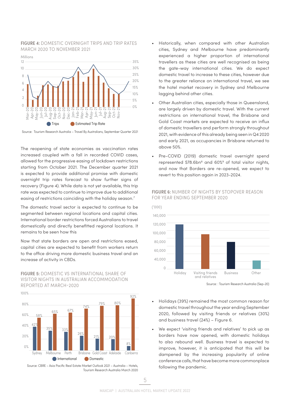#### <span id="page-6-0"></span>**FIGURE 4:** DOMESTIC OVERNIGHT TRIPS AND TRIP RATES MARCH 2020 TO NOVEMBER 2021



Source: Tourism Research Australia – Travel By Australians, September Quarter 2021

The reopening of state economies as vaccination rates increased coupled with a fall in recorded COVID cases, allowed for the progressive easing of lockdown restrictions starting from October 2021. The December quarter 2021 is expected to provide additional promise with domestic overnight trip rates forecast to show further signs of recovery (Figure 4). While data is not yet available, this trip rate was expected to continue to improve due to additional easing of restrictions coinciding with the holiday season.<sup>[7](#page-10-0)</sup>

The domestic travel sector is expected to continue to be segmented between regional locations and capital cities. International border restrictions forced Australians to travel domestically and directly benefitted regional locations. It remains to be seen how this

Now that state borders are open and restrictions eased, capital cities are expected to benefit from workers return to the office driving more domestic business travel and an increase of activity in CBDs.

**FIGURE 5:** DOMESTIC VS INTERNATIONAL SHARE OF VISITOR NIGHTS IN AUSTRALIAN ACCOMMODATION REPORTED AT MARCH-2020



Source: CBRE – Asia Pacific Real Estate Market Outlook 2021 – Australia – Hotels, Tourism Research Australia March 2020

- Historically, when compared with other Australian cities, Sydney and Melbourne have predominantly experienced a higher proportion of international travellers as these cities are well recognised as being the gate-way international cities. We do expect domestic travel to increase to these cities, however due to the greater reliance on international travel, we see the hotel market recovery in Sydney and Melbourne lagging behind other cities.
- Other Australian cities, especially those in Queensland, are largely driven by domestic travel. With the current restrictions on international travel, the Brisbane and Gold Coast markets are expected to receive an influx of domestic travellers and perform strongly throughout 2021, with evidence of this already being seen in Q4 2020 and early 2021, as occupancies in Brisbane returned to above 50%.
- Pre-COVID (2019) domestic travel overnight spend represented \$78.6bn<sup>8</sup> and 60%<sup>9</sup> of total visitor nights, and now that Borders are re-opened, we expect to revert to this position again in 2023-2024.



#### **FIGURE 6:** NUMBER OF NIGHTS BY STOPOVER REASON FOR YEAR ENDING SEPTEMBER 2020

Source: : Tourism Research Australia (Sep-20)

- Holidays (39%) remained the most common reason for domestic travel throughout the year ending September 2020, followed by visiting friends or relatives (30%) and business travel (24%) – Figure 6.
- We expect 'visiting friends and relatives' to pick up as borders have now opened, with domestic holidays to also rebound well. Business travel is expected to improve, however, it is anticipated that this will be dampened by the increasing popularity of online conference calls, that have become more commonplace following the pandemic.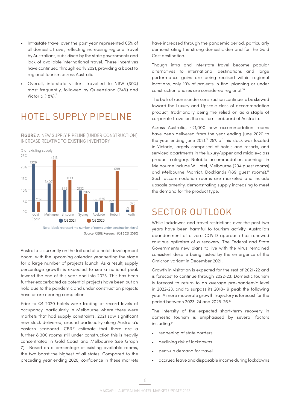- <span id="page-7-0"></span>• Intrastate travel over the past year represented 65% of all domestic travel, reflecting increasing regional travel by Australians, subsidised by the state governments and lack of available international travel. These incentives have continued through early 2021, providing a boost to regional tourism across Australia.
- Overall, interstate visitors travelled to NSW (30%) most frequently, followed by Queensland (24%) and Victoria (18%).<sup>7</sup>

## HOTEL SUPPLY PIPELINE

**FIGURE 7:** NEW SUPPLY PIPELINE (UNDER CONSTRUCTION) INCREASE RELATIVE TO EXISTING INVENTORY



Note: labels represent the number of rooms under construction (only) Source: CBRE Research (Q2 2021, 2020)

Australia is currently on the tail end of a hotel development boom, with the upcoming calendar year setting the stage for a large number of projects launch. As a result, supply percentage growth is expected to see a national peak toward the end of this year and into 2023. This has been further exacerbated as potential projects have been put on hold due to the pandemic and under construction projects have or are nearing completion.

Prior to Q1 2020 hotels were trading at record levels of occupancy, particularly in Melbourne where there were markets that had supply constraints. 2021 saw significant new stock delivered, around particualry along Australia's eastern seaboard. CBRE estimate that there are a further 8,300 rooms still under construction this is heavily concentrated in Gold Coast and Melbourne (see Graph 7). Based on a percentage of existing available rooms, the two boast the highest of all states. Compared to the preceding year ending 2020, confidence in these markets

have increased through the pandemic period, particularly demonstrating the strong domestic demand for the Gold Cost destination.

Though intra and interstate travel become popular alternatives to international destinations and large performance gains are being realised within regional locations, only 10% of projects in final planning or under construction phases are considered regional.[10](#page-10-0)

The bulk of rooms under construction continue to be skewed toward the Luxury and Upscale class of accommodation product, traditionally being the relied on as a staple of corporate travel on the eastern seaboard of Australia.

Across Australia, ~21,000 new accommodation rooms have been delivered from the year ending June 2020 to the year ending June 2021.<sup>[11](#page-10-0)</sup> 25% of this stock was located in Victoria, largely comprised of hotels and resorts, and serviced apartments in the luxury/upper and middle-class product category. Notable accommodation openings in Melbourne include W Hotel, Melbourne (294 guest rooms) and Melbourne Marriot, Docklands (189 guest rooms)[.12](#page-10-0) Such accommodation rooms are marketed and include upscale amenity, demonstrating supply increasing to meet the demand for the product type.

## SECTOR OUTLOOK

While lockdowns and travel restrictions over the past two years have been harmful to tourism activity, Australia's abandonment of a zero COVID approach has renewed cautious optimism of a recovery. The Federal and State Governments new plans to live with the virus remained consistent despite being tested by the emergence of the Omicron variant in December 2021.

Growth in visitation is expected for the rest of 2021-22 and is forecast to continue through 2022-23. Domestic tourism is forecast to return to an average pre-pandemic level in 2022-23, and to surpass its 2018-19 peak the following year. A more moderate growth trajectory is forecast for the period between 2023-24 and 2025-26[.13](#page-10-0)

The intensity of the expected short-term recovery in domestic tourism is emphasised by several factors including:<sup>14</sup>

- reopening of state borders
- declining risk of lockdowns
- pent-up demand for travel
- accrued leave and disposable income during lockdowns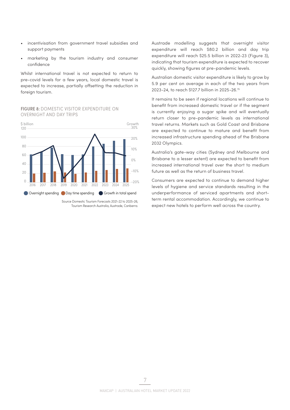- <span id="page-8-0"></span>• incentivisation from government travel subsidies and support payments
- marketing by the tourism industry and consumer confidence

Whilst international travel is not expected to return to pre-covid levels for a few years, local domestic travel is expected to increase, partially offsetting the reduction in foreign tourism.

#### **FIGURE 8:** DOMESTIC VISITOR EXPENDITURE ON OVERNIGHT AND DAY TRIPS



Tourism Research Australia, Austrade, Canberra.

Austrade modelling suggests that overnight visitor expenditure will reach \$80.2 billion and day trip expenditure will reach \$25.5 billion in 2022-23 (Figure 3), indicating that tourism expenditure is expected to recover quickly, showing figures at pre-pandemic levels.

Australian domestic visitor expenditure is likely to grow by 5.9 per cent on average in each of the two years from 2023-24, to reach \$127.7 billion in 2025-26[.15](#page-10-0)

It remains to be seen if regional locations will continue to benefit from increased domestic travel or if the segment is currently enjoying a sugar spike and will eventually return closer to pre-pandemic levels as international travel returns. Markets such as Gold Coast and Brisbane are expected to continue to mature and benefit from increased infrastructure spending ahead of the Brisbane 2032 Olympics.

Australia's gate-way cities (Sydney and Melbourne and Brisbane to a lesser extent) are expected to benefit from increased international travel over the short to medium future as well as the return of business travel.

Consumers are expected to continue to demand higher levels of hygiene and service standards resulting in the underperformance of serviced apartments and shortterm rental accommodation. Accordingly, we continue to expect new hotels to perform well across the country.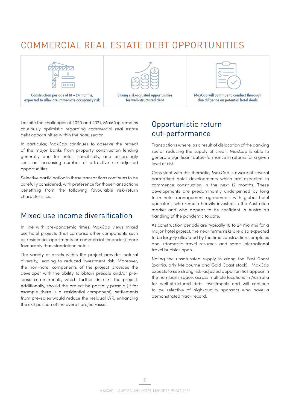## COMMERCIAL REAL ESTATE DEBT OPPORTUNITIES





**Strong risk-adjusted opportunities for well-structured debt** 



**MaxCap will continue to conduct thorough due diligence on potential hotel deals** 

Despite the challenges of 2020 and 2021, MaxCap remains cautiously optimistic regarding commercial real estate debt opportunities within the hotel sector.

In particular, MaxCap continues to observe the retreat of the major banks from property construction lending generally and for hotels specifically, and accordingly sees an increasing number of attractive risk-adjusted opportunities.

Selective participation in these transactions continues to be carefully considered, with preference for those transactions benefiting from the following favourable risk-return characteristics:

### Mixed use income diversification

In line with pre-pandemic times, MaxCap views mixed use hotel projects (that comprise other components such as residential apartments or commercial tenancies) more favourably than standalone hotels.

The variety of assets within the project provides natural diversity, leading to reduced investment risk. Moreover, the non-hotel components of the project provides the developer with the ability to obtain presale and/or prelease commitments, which further de-risks the project. Additionally, should the project be partially presold (if for example there is a residential component), settlements from pre-sales would reduce the residual LVR, enhancing the exit position of the overall project/asset.

## Opportunistic return out-performance

Transactions where, as a result of dislocation of the banking sector reducing the supply of credit, MaxCap is able to generate significant outperformance in returns for a given level of risk.

Consistent with this thematic, MaxCap is aware of several earmarked hotel developments which are expected to commence construction in the next 12 months. These developments are predominantly underpinned by long term hotel management agreements with global hotel operators, who remain heavily invested in the Australian market and who appear to be confident in Australia's handling of the pandemic to date.

As construction periods are typically 18 to 24 months for a major hotel project, the near terms risks are also expected to be largely alleviated by the time construction completes and +domestic travel resumes and some international travel bubbles open.

Noting the unsaturated supply in along the East Coast (particularly Melbourne and Gold Coast stock), MaxCap expects to see strong risk-adjusted opportunities appear in the non-bank space, across multiple locations in Australia for well-structured debt investments and will continue to be selective of high-quality sponsors who have a demonstrated track record.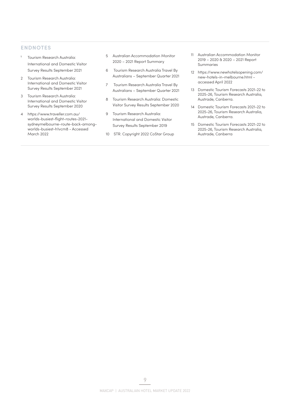#### <span id="page-10-0"></span>**ENDNOTES**

- [1](#page-2-0) Tourism Research Australia: International and Domestic Visitor Survey Results September 2021
- [2](#page-2-0) Tourism Research Australia: International and Domestic Visitor Survey Results September 2021
- [3](#page-2-0) Tourism Research Australia: International and Domestic Visitor Survey Results September 2020
- [4](#page-2-0) https://www.traveller.com.au/ worlds-busiest-flight-routes-2021 sydneymelbourne-route-back-amongworlds-busiest-h1vcm8 - Accessed March 2022
- [5](#page-3-0) Australian Accommodation Monitor 2020 – 2021 Report Summary
- [6](#page-5-0) Tourism Research Australia Travel By Australians – September Quarter 2021
- [7](#page-6-0) Tourism Research Australia Travel By Australians – September Quarter 2021
- [8](#page-6-0) Tourism Research Australia: Domestic Visitor Survey Results September 2020
- [9](#page-6-0) Tourism Research Australia: International and Domestic Visitor Survey Results September 2019
- [10](#page-7-0) STR. Copyright 2022 CoStar Group
- [11](#page-7-0) Australian Accommodation Monitor 2019 – 2020 & 2020 – 2021 Report Summaries
- [12](#page-7-0) https://www.newhotelsopening.com/ new-hotels-in-melbourne.html accessed April 2022
- [13](#page-7-0) Domestic Tourism Forecasts 2021-22 to 2025-26, Tourism Research Australia, Austrade, Canberra.
- [14](#page-7-0) Domestic Tourism Forecasts 2021-22 to 2025-26, Tourism Research Australia, Austrade, Canberra.
- [15](#page-8-0) Domestic Tourism Forecasts 2021-22 to 2025-26, Tourism Research Australia, Austrade, Canberra